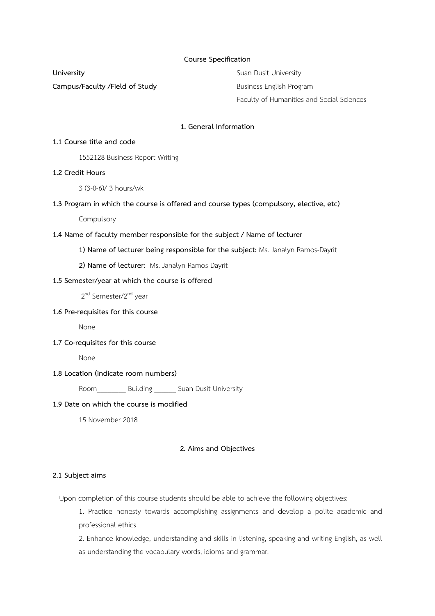### **Course Specification**

**Campus/Faculty /Field of Study Business English Program** 

**University** Suan Dusit University Faculty of Humanities and Social Sciences

## **1. General Information**

### **1.1 Course title and code**

1552128 Business Report Writing

## **1.2 Credit Hours**

3 (3-0-6)/ 3 hours/wk

## **1.3 Program in which the course is offered and course types (compulsory, elective, etc)**

Compulsory

### **1.4 Name of faculty member responsible for the subject / Name of lecturer**

**1) Name of lecturer being responsible for the subject:** Ms. Janalyn Ramos-Dayrit

**2) Name of lecturer:** Ms. Janalyn Ramos-Dayrit

### **1.5 Semester/year at which the course is offered**

2<sup>nd</sup> Semester/2<sup>nd</sup> year

### **1.6 Pre-requisites for this course**

None

### **1.7 Co-requisites for this course**

None

## **1.8 Location (indicate room numbers)**

Room Building Suan Dusit University

## **1.9 Date on which the course is modified**

15 November 2018

### **2. Aims and Objectives**

## **2.1 Subject aims**

Upon completion of this course students should be able to achieve the following objectives:

1. Practice honesty towards accomplishing assignments and develop a polite academic and professional ethics

2. Enhance knowledge, understanding and skills in listening, speaking and writing English, as well as understanding the vocabulary words, idioms and grammar.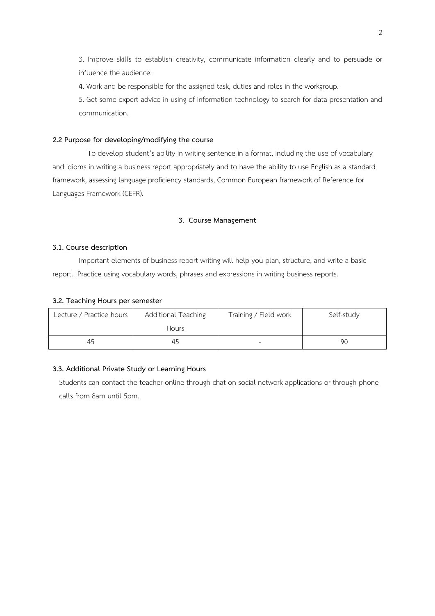3. Improve skills to establish creativity, communicate information clearly and to persuade or influence the audience.

4. Work and be responsible for the assigned task, duties and roles in the workgroup.

5. Get some expert advice in using of information technology to search for data presentation and communication.

## **2.2 Purpose for developing/modifying the course**

 To develop student's ability in writing sentence in a format, including the use of vocabulary and idioms in writing a business report appropriately and to have the ability to use English as a standard framework, assessing language proficiency standards, Common European framework of Reference for Languages Framework (CEFR).

## **3. Course Management**

### **3.1. Course description**

Important elements of business report writing will help you plan, structure, and write a basic report. Practice using vocabulary words, phrases and expressions in writing business reports.

### **3.2. Teaching Hours per semester**

| Lecture / Practice hours | Additional Teaching<br><b>Hours</b> | Training / Field work | Self-study |
|--------------------------|-------------------------------------|-----------------------|------------|
| 45                       | 45                                  |                       | 90         |

### **3.3. Additional Private Study or Learning Hours**

Students can contact the teacher online through chat on social network applications or through phone calls from 8am until 5pm.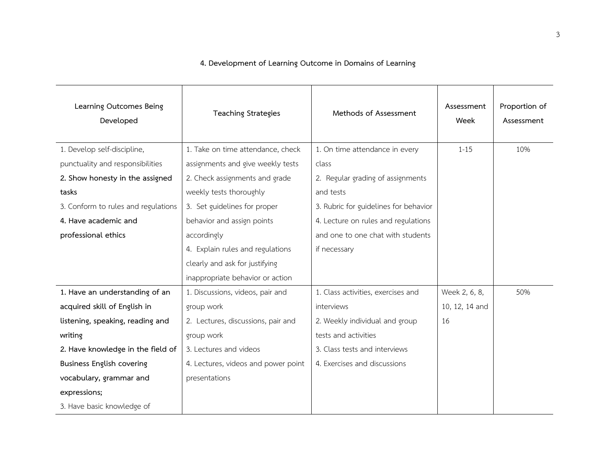| Learning Outcomes Being<br>Developed | <b>Teaching Strategies</b>          | Methods of Assessment                 | Assessment<br>Week | Proportion of<br>Assessment |
|--------------------------------------|-------------------------------------|---------------------------------------|--------------------|-----------------------------|
| 1. Develop self-discipline,          | 1. Take on time attendance, check   | 1. On time attendance in every        | $1 - 15$           | 10%                         |
| punctuality and responsibilities     | assignments and give weekly tests   | class                                 |                    |                             |
| 2. Show honesty in the assigned      | 2. Check assignments and grade      | 2. Regular grading of assignments     |                    |                             |
| tasks                                | weekly tests thoroughly             | and tests                             |                    |                             |
| 3. Conform to rules and regulations  | 3. Set guidelines for proper        | 3. Rubric for guidelines for behavior |                    |                             |
| 4. Have academic and                 | behavior and assign points          | 4. Lecture on rules and regulations   |                    |                             |
| professional ethics                  | accordingly                         | and one to one chat with students     |                    |                             |
|                                      | 4. Explain rules and regulations    | if necessary                          |                    |                             |
|                                      | clearly and ask for justifying      |                                       |                    |                             |
|                                      | inappropriate behavior or action    |                                       |                    |                             |
| 1. Have an understanding of an       | 1. Discussions, videos, pair and    | 1. Class activities, exercises and    | Week 2, 6, 8,      | 50%                         |
| acquired skill of English in         | group work                          | interviews                            | 10, 12, 14 and     |                             |
| listening, speaking, reading and     | 2. Lectures, discussions, pair and  | 2. Weekly individual and group        | 16                 |                             |
| writing                              | group work                          | tests and activities                  |                    |                             |
| 2. Have knowledge in the field of    | 3. Lectures and videos              | 3. Class tests and interviews         |                    |                             |
| <b>Business English covering</b>     | 4. Lectures, videos and power point | 4. Exercises and discussions          |                    |                             |
| vocabulary, grammar and              | presentations                       |                                       |                    |                             |
| expressions;                         |                                     |                                       |                    |                             |
| 3. Have basic knowledge of           |                                     |                                       |                    |                             |

# **4. Development of Learning Outcome in Domains of Learning**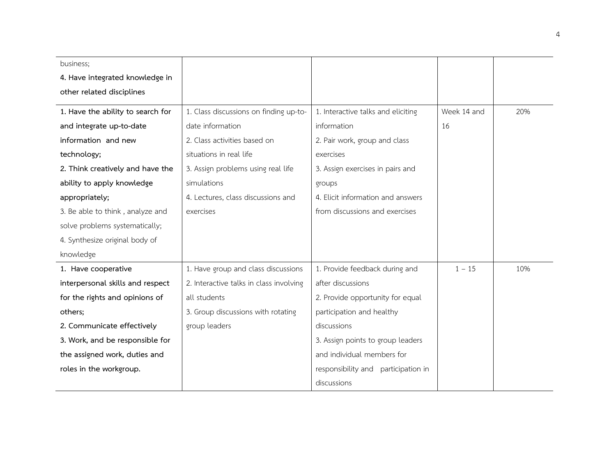| business;                         |                                         |                                        |             |     |
|-----------------------------------|-----------------------------------------|----------------------------------------|-------------|-----|
| 4. Have integrated knowledge in   |                                         |                                        |             |     |
| other related disciplines         |                                         |                                        |             |     |
| 1. Have the ability to search for | 1. Class discussions on finding up-to-  | 1. Interactive talks and eliciting     | Week 14 and | 20% |
| and integrate up-to-date          | date information                        | information                            | 16          |     |
| information and new               | 2. Class activities based on            | 2. Pair work, group and class          |             |     |
| technology;                       | situations in real life                 | exercises                              |             |     |
| 2. Think creatively and have the  | 3. Assign problems using real life      | 3. Assign exercises in pairs and       |             |     |
| ability to apply knowledge        | simulations                             | groups                                 |             |     |
| appropriately;                    | 4. Lectures, class discussions and      | 4. Elicit information and answers      |             |     |
| 3. Be able to think, analyze and  | exercises                               | from discussions and exercises         |             |     |
| solve problems systematically;    |                                         |                                        |             |     |
| 4. Synthesize original body of    |                                         |                                        |             |     |
| knowledge                         |                                         |                                        |             |     |
| 1. Have cooperative               | 1. Have group and class discussions     | 1. Provide feedback during and         | $1 - 15$    | 10% |
| interpersonal skills and respect  | 2. Interactive talks in class involving | after discussions                      |             |     |
| for the rights and opinions of    | all students                            | 2. Provide opportunity for equal       |             |     |
| others;                           | 3. Group discussions with rotating      | participation and healthy              |             |     |
| 2. Communicate effectively        | group leaders                           | discussions                            |             |     |
| 3. Work, and be responsible for   |                                         | 3. Assign points to group leaders      |             |     |
| the assigned work, duties and     |                                         | and individual members for             |             |     |
| roles in the workgroup.           |                                         | responsibility and<br>participation in |             |     |
|                                   |                                         | discussions                            |             |     |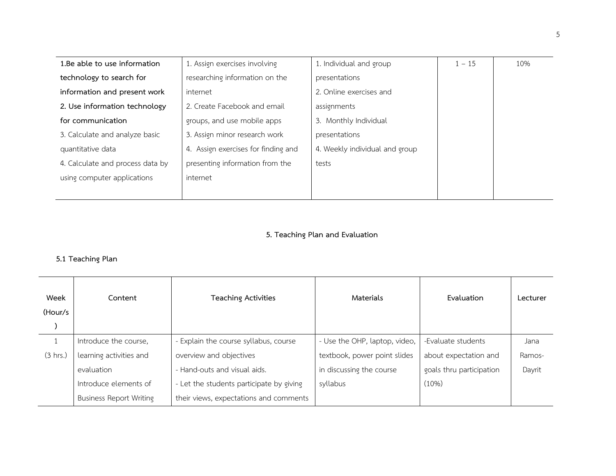| 1.Be able to use information     | 1. Assign exercises involving       | 1. Individual and group        | $1 - 15$ | 10% |
|----------------------------------|-------------------------------------|--------------------------------|----------|-----|
| technology to search for         | researching information on the      | presentations                  |          |     |
| information and present work     | internet                            | 2. Online exercises and        |          |     |
| 2. Use information technology    | 2. Create Facebook and email        | assignments                    |          |     |
| for communication                | groups, and use mobile apps         | 3. Monthly Individual          |          |     |
| 3. Calculate and analyze basic   | 3. Assign minor research work       | presentations                  |          |     |
| quantitative data                | 4. Assign exercises for finding and | 4. Weekly individual and group |          |     |
| 4. Calculate and process data by | presenting information from the     | tests                          |          |     |
| using computer applications      | internet                            |                                |          |     |
|                                  |                                     |                                |          |     |

# **5. Teaching Plan and Evaluation**

## **5.1 Teaching Plan**

| Week<br>(Hour/s | Content                        | Teaching Activities                      | Materials                     | Evaluation               | Lecturer |
|-----------------|--------------------------------|------------------------------------------|-------------------------------|--------------------------|----------|
|                 | Introduce the course,          | - Explain the course syllabus, course    | - Use the OHP, laptop, video, | -Evaluate students       | Jana     |
| (3 hrs.)        | learning activities and        | overview and objectives                  | textbook, power point slides  | about expectation and    | Ramos-   |
|                 | evaluation                     | - Hand-outs and visual aids.             | in discussing the course      | goals thru participation | Dayrit   |
|                 | Introduce elements of          | - Let the students participate by giving | syllabus                      | (10%)                    |          |
|                 | <b>Business Report Writing</b> | their views, expectations and comments   |                               |                          |          |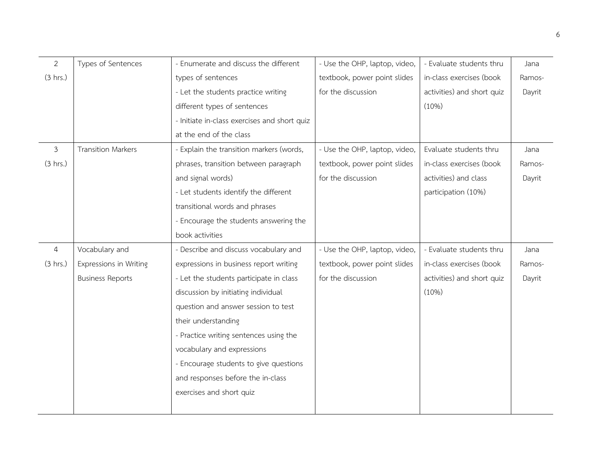| 2        | Types of Sentences        | - Enumerate and discuss the different        | - Use the OHP, laptop, video, | - Evaluate students thru   | Jana   |
|----------|---------------------------|----------------------------------------------|-------------------------------|----------------------------|--------|
| (3 hrs.) |                           | types of sentences                           | textbook, power point slides  | in-class exercises (book   | Ramos- |
|          |                           | - Let the students practice writing          | for the discussion            | activities) and short quiz | Dayrit |
|          |                           | different types of sentences                 |                               | (10%)                      |        |
|          |                           | - Initiate in-class exercises and short quiz |                               |                            |        |
|          |                           | at the end of the class                      |                               |                            |        |
| 3        | <b>Transition Markers</b> | - Explain the transition markers (words,     | - Use the OHP, laptop, video, | Evaluate students thru     | Jana   |
| (3 hrs.) |                           | phrases, transition between paragraph        | textbook, power point slides  | in-class exercises (book   | Ramos- |
|          |                           | and signal words)                            | for the discussion            | activities) and class      | Dayrit |
|          |                           | - Let students identify the different        |                               | participation (10%)        |        |
|          |                           | transitional words and phrases               |                               |                            |        |
|          |                           | - Encourage the students answering the       |                               |                            |        |
|          |                           | book activities                              |                               |                            |        |
| 4        | Vocabulary and            | - Describe and discuss vocabulary and        | - Use the OHP, laptop, video, | - Evaluate students thru   | Jana   |
| (3 hrs.) | Expressions in Writing    | expressions in business report writing       | textbook, power point slides  | in-class exercises (book   | Ramos- |
|          | <b>Business Reports</b>   | - Let the students participate in class      | for the discussion            | activities) and short quiz | Dayrit |
|          |                           | discussion by initiating individual          |                               | (10%)                      |        |
|          |                           | question and answer session to test          |                               |                            |        |
|          |                           | their understanding                          |                               |                            |        |
|          |                           | - Practice writing sentences using the       |                               |                            |        |
|          |                           | vocabulary and expressions                   |                               |                            |        |
|          |                           | - Encourage students to give questions       |                               |                            |        |
|          |                           | and responses before the in-class            |                               |                            |        |
|          |                           | exercises and short quiz                     |                               |                            |        |
|          |                           |                                              |                               |                            |        |
|          |                           |                                              |                               |                            |        |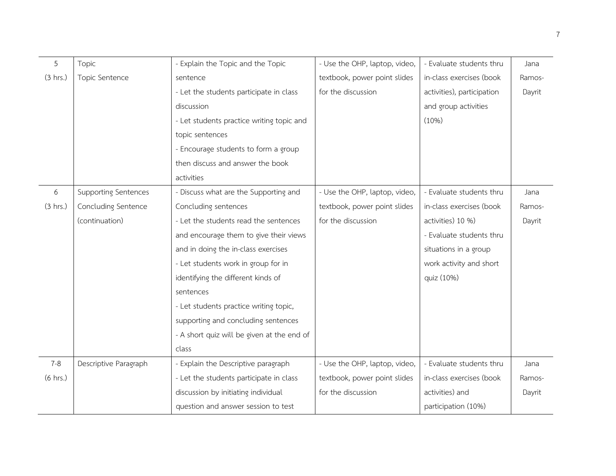| 5                  | Topic                       | - Explain the Topic and the Topic          | - Use the OHP, laptop, video, | - Evaluate students thru   | Jana   |
|--------------------|-----------------------------|--------------------------------------------|-------------------------------|----------------------------|--------|
| (3 hrs.)           | Topic Sentence              | sentence                                   | textbook, power point slides  | in-class exercises (book   | Ramos- |
|                    |                             | - Let the students participate in class    | for the discussion            | activities), participation | Dayrit |
|                    |                             | discussion                                 |                               | and group activities       |        |
|                    |                             | - Let students practice writing topic and  |                               | (10%)                      |        |
|                    |                             | topic sentences                            |                               |                            |        |
|                    |                             | - Encourage students to form a group       |                               |                            |        |
|                    |                             | then discuss and answer the book           |                               |                            |        |
|                    |                             | activities                                 |                               |                            |        |
| 6                  | <b>Supporting Sentences</b> | - Discuss what are the Supporting and      | - Use the OHP, laptop, video, | - Evaluate students thru   | Jana   |
| (3 hrs.)           | Concluding Sentence         | Concluding sentences                       | textbook, power point slides  | in-class exercises (book   | Ramos- |
|                    | (continuation)              | - Let the students read the sentences      | for the discussion            | activities) 10 %)          | Dayrit |
|                    |                             | and encourage them to give their views     |                               | - Evaluate students thru   |        |
|                    |                             | and in doing the in-class exercises        |                               | situations in a group      |        |
|                    |                             | - Let students work in group for in        |                               | work activity and short    |        |
|                    |                             | identifying the different kinds of         |                               | quiz (10%)                 |        |
|                    |                             | sentences                                  |                               |                            |        |
|                    |                             | - Let students practice writing topic,     |                               |                            |        |
|                    |                             | supporting and concluding sentences        |                               |                            |        |
|                    |                             | - A short quiz will be given at the end of |                               |                            |        |
|                    |                             | class                                      |                               |                            |        |
| $7 - 8$            | Descriptive Paragraph       | - Explain the Descriptive paragraph        | - Use the OHP, laptop, video, | - Evaluate students thru   | Jana   |
| $(6 \text{ hrs.})$ |                             | - Let the students participate in class    | textbook, power point slides  | in-class exercises (book   | Ramos- |
|                    |                             | discussion by initiating individual        | for the discussion            | activities) and            | Dayrit |
|                    |                             | question and answer session to test        |                               | participation (10%)        |        |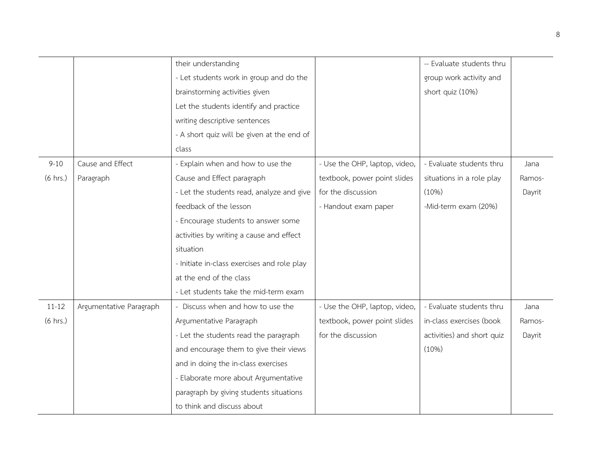|                    |                         | their understanding                         |                               | -- Evaluate students thru  |        |
|--------------------|-------------------------|---------------------------------------------|-------------------------------|----------------------------|--------|
|                    |                         | - Let students work in group and do the     |                               | group work activity and    |        |
|                    |                         | brainstorming activities given              |                               | short quiz (10%)           |        |
|                    |                         | Let the students identify and practice      |                               |                            |        |
|                    |                         | writing descriptive sentences               |                               |                            |        |
|                    |                         | - A short quiz will be given at the end of  |                               |                            |        |
|                    |                         | class                                       |                               |                            |        |
| $9 - 10$           | Cause and Effect        | - Explain when and how to use the           | - Use the OHP, laptop, video, | - Evaluate students thru   | Jana   |
| $(6 \text{ hrs.})$ | Paragraph               | Cause and Effect paragraph                  | textbook, power point slides  | situations in a role play  | Ramos- |
|                    |                         | - Let the students read, analyze and give   | for the discussion            | (10%)                      | Dayrit |
|                    |                         | feedback of the lesson                      | - Handout exam paper          | -Mid-term exam (20%)       |        |
|                    |                         | - Encourage students to answer some         |                               |                            |        |
|                    |                         | activities by writing a cause and effect    |                               |                            |        |
|                    |                         | situation                                   |                               |                            |        |
|                    |                         | - Initiate in-class exercises and role play |                               |                            |        |
|                    |                         | at the end of the class                     |                               |                            |        |
|                    |                         | - Let students take the mid-term exam       |                               |                            |        |
| $11 - 12$          | Argumentative Paragraph | - Discuss when and how to use the           | - Use the OHP, laptop, video, | - Evaluate students thru   | Jana   |
| $(6 \text{ hrs.})$ |                         | Argumentative Paragraph                     | textbook, power point slides  | in-class exercises (book   | Ramos- |
|                    |                         | - Let the students read the paragraph       | for the discussion            | activities) and short quiz | Dayrit |
|                    |                         | and encourage them to give their views      |                               | (10%)                      |        |
|                    |                         | and in doing the in-class exercises         |                               |                            |        |
|                    |                         | - Elaborate more about Argumentative        |                               |                            |        |
|                    |                         | paragraph by giving students situations     |                               |                            |        |
|                    |                         | to think and discuss about                  |                               |                            |        |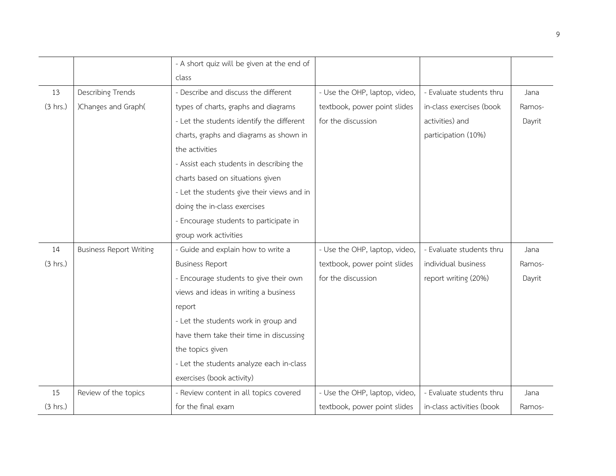|          |                                | - A short quiz will be given at the end of |                               |                           |        |
|----------|--------------------------------|--------------------------------------------|-------------------------------|---------------------------|--------|
|          |                                | class                                      |                               |                           |        |
| 13       | <b>Describing Trends</b>       | - Describe and discuss the different       | - Use the OHP, laptop, video, | - Evaluate students thru  | Jana   |
| (3 hrs.) | )Changes and Graph(            | types of charts, graphs and diagrams       | textbook, power point slides  | in-class exercises (book  | Ramos- |
|          |                                | - Let the students identify the different  | for the discussion            | activities) and           | Dayrit |
|          |                                | charts, graphs and diagrams as shown in    |                               | participation (10%)       |        |
|          |                                | the activities                             |                               |                           |        |
|          |                                | - Assist each students in describing the   |                               |                           |        |
|          |                                | charts based on situations given           |                               |                           |        |
|          |                                | - Let the students give their views and in |                               |                           |        |
|          |                                | doing the in-class exercises               |                               |                           |        |
|          |                                | - Encourage students to participate in     |                               |                           |        |
|          |                                | group work activities                      |                               |                           |        |
| 14       | <b>Business Report Writing</b> | - Guide and explain how to write a         | - Use the OHP, laptop, video, | - Evaluate students thru  | Jana   |
| (3 hrs.) |                                | <b>Business Report</b>                     | textbook, power point slides  | individual business       | Ramos- |
|          |                                | - Encourage students to give their own     | for the discussion            | report writing (20%)      | Dayrit |
|          |                                | views and ideas in writing a business      |                               |                           |        |
|          |                                | report                                     |                               |                           |        |
|          |                                | - Let the students work in group and       |                               |                           |        |
|          |                                | have them take their time in discussing    |                               |                           |        |
|          |                                | the topics given                           |                               |                           |        |
|          |                                | - Let the students analyze each in-class   |                               |                           |        |
|          |                                | exercises (book activity)                  |                               |                           |        |
| 15       | Review of the topics           | - Review content in all topics covered     | - Use the OHP, laptop, video, | - Evaluate students thru  | Jana   |
| (3 hrs.) |                                | for the final exam                         | textbook, power point slides  | in-class activities (book | Ramos- |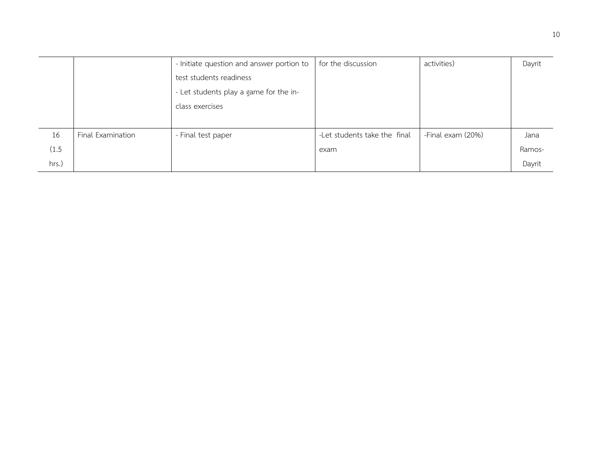|       |                   | - Initiate question and answer portion to | for the discussion           | activities)       | Dayrit |
|-------|-------------------|-------------------------------------------|------------------------------|-------------------|--------|
|       |                   | test students readiness                   |                              |                   |        |
|       |                   | - Let students play a game for the in-    |                              |                   |        |
|       |                   | class exercises                           |                              |                   |        |
|       |                   |                                           |                              |                   |        |
| 16    | Final Examination | - Final test paper                        | -Let students take the final | -Final exam (20%) | Jana   |
| (1.5) |                   |                                           | exam                         |                   | Ramos- |
| hrs.) |                   |                                           |                              |                   | Dayrit |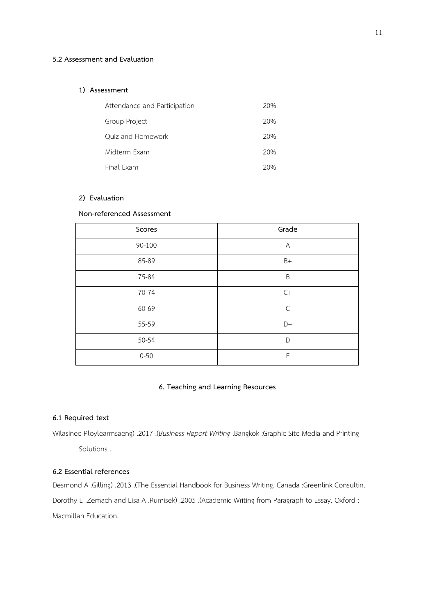### **5.2 Assessment and Evaluation**

#### **1) Assessment**

| Attendance and Participation | 20% |
|------------------------------|-----|
| Group Project                | 20% |
| Ouiz and Homework            | 20% |
| Midterm Exam                 | 20% |
| Final Exam                   | 20% |

## **2) Evaluation**

## **Non-referenced Assessment**

| Scores   | Grade          |
|----------|----------------|
| 90-100   | $\overline{A}$ |
| 85-89    | $B+$           |
| 75-84    | B              |
| 70-74    | $C+$           |
| 60-69    | $\mathsf{C}$   |
| 55-59    | $D+$           |
| 50-54    | D              |
| $0 - 50$ | F              |

### **6. Teaching and Learning Resources**

### **6.1 Required text**

Wilasinee Ploylearmsaeng( .2017 .)*Business Report Writing* .Bangkok :Graphic Site Media and Printing Solutions .

## **6.2 Essential references**

Desmond A .Gilling) .2013 .(The Essential Handbook for Business Writing. Canada :Greenlink Consultin. Dorothy E .Zemach and Lisa A .Rumisek) .2005 .(Academic Writing from Paragraph to Essay. Oxford : Macmillan Education.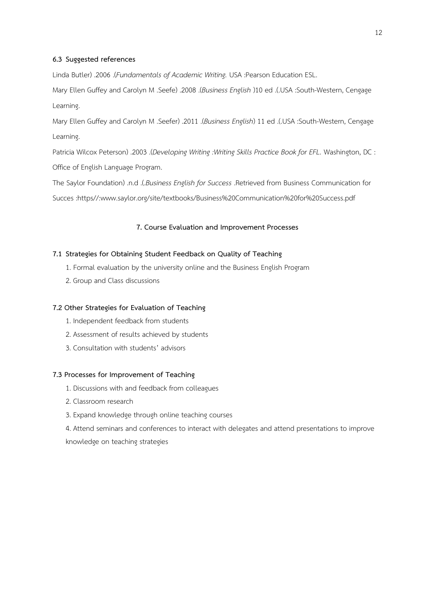### **6.3 Suggested references**

Linda Butler) .2006 .(Fundamentals of Academic Writing. USA :Pearson Education ESL.

Mary Ellen Guffey and Carolyn M .Seefe( .2008 .)*Business English* (10 ed .).USA :South-Western, Cengage Learning.

Mary Ellen Guffey and Carolyn M .Seefer( .2011 .)*Business English*( 11 ed .).USA :South-Western, Cengage Learning.

Patricia Wilcox Peterson( .2003 .)*Developing Writing :Writing Skills Practice Book for EFL.* Washington, DC : Office of English Language Program.

The Saylor Foundation( .n.d .).*Business English for Success* .Retrieved from Business Communication for Succes :https//:www.saylor.org/site/textbooks/Business%20Communication%20for%20Success.pdf

## **7. Course Evaluation and Improvement Processes**

### **7.1 Strategies for Obtaining Student Feedback on Quality of Teaching**

- 1. Formal evaluation by the university online and the Business English Program
- 2. Group and Class discussions

#### **7.2 Other Strategies for Evaluation of Teaching**

- 1. Independent feedback from students
- 2. Assessment of results achieved by students
- 3. Consultation with students' advisors

### **7.3 Processes for Improvement of Teaching**

- 1. Discussions with and feedback from colleagues
- 2. Classroom research
- 3. Expand knowledge through online teaching courses

4. Attend seminars and conferences to interact with delegates and attend presentations to improve knowledge on teaching strategies